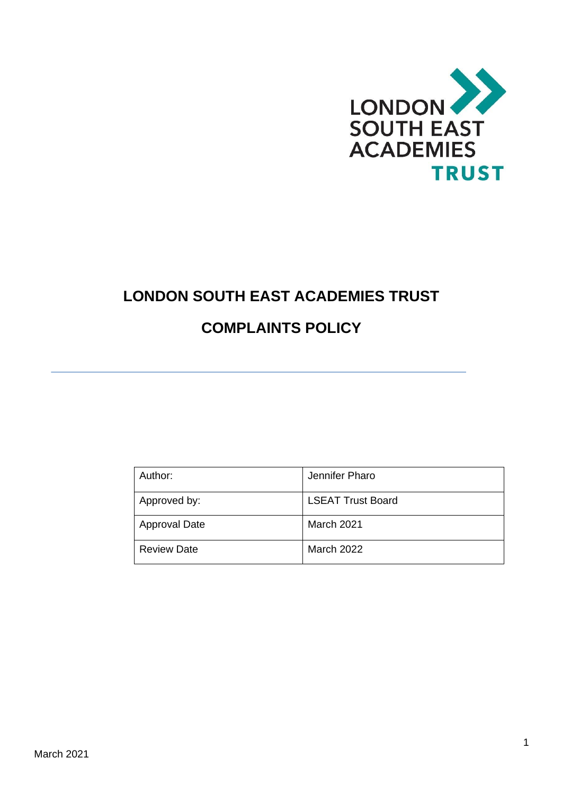

# **LONDON SOUTH EAST ACADEMIES TRUST**

# **COMPLAINTS POLICY**

| Author:              | Jennifer Pharo           |
|----------------------|--------------------------|
| Approved by:         | <b>LSEAT Trust Board</b> |
| <b>Approval Date</b> | March 2021               |
| <b>Review Date</b>   | <b>March 2022</b>        |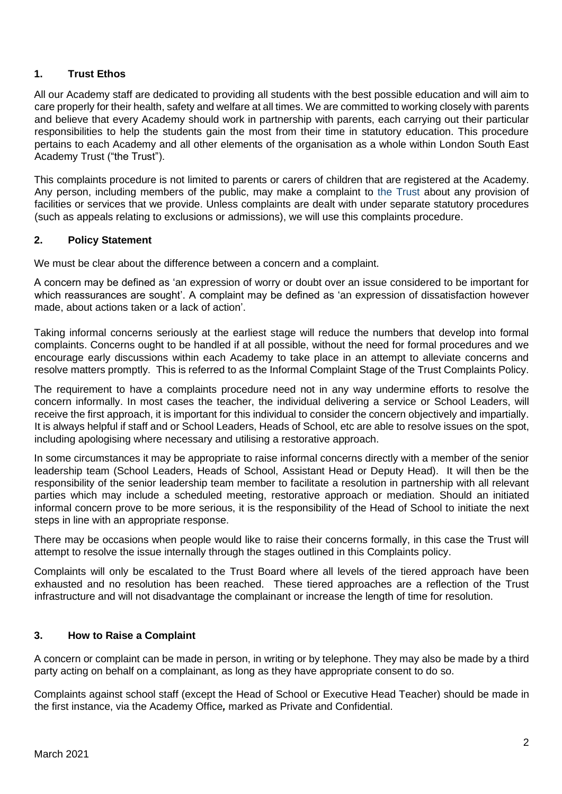## **1. Trust Ethos**

All our Academy staff are dedicated to providing all students with the best possible education and will aim to care properly for their health, safety and welfare at all times. We are committed to working closely with parents and believe that every Academy should work in partnership with parents, each carrying out their particular responsibilities to help the students gain the most from their time in statutory education. This procedure pertains to each Academy and all other elements of the organisation as a whole within London South East Academy Trust ("the Trust").

This complaints procedure is not limited to parents or carers of children that are registered at the Academy. Any person, including members of the public, may make a complaint to the Trust about any provision of facilities or services that we provide. Unless complaints are dealt with under separate statutory procedures (such as appeals relating to exclusions or admissions), we will use this complaints procedure.

### **2. Policy Statement**

We must be clear about the difference between a concern and a complaint.

A concern may be defined as 'an expression of worry or doubt over an issue considered to be important for which reassurances are sought'. A complaint may be defined as 'an expression of dissatisfaction however made, about actions taken or a lack of action'.

Taking informal concerns seriously at the earliest stage will reduce the numbers that develop into formal complaints. Concerns ought to be handled if at all possible, without the need for formal procedures and we encourage early discussions within each Academy to take place in an attempt to alleviate concerns and resolve matters promptly. This is referred to as the Informal Complaint Stage of the Trust Complaints Policy.

The requirement to have a complaints procedure need not in any way undermine efforts to resolve the concern informally. In most cases the teacher, the individual delivering a service or School Leaders, will receive the first approach, it is important for this individual to consider the concern objectively and impartially. It is always helpful if staff and or School Leaders, Heads of School, etc are able to resolve issues on the spot, including apologising where necessary and utilising a restorative approach.

In some circumstances it may be appropriate to raise informal concerns directly with a member of the senior leadership team (School Leaders, Heads of School, Assistant Head or Deputy Head). It will then be the responsibility of the senior leadership team member to facilitate a resolution in partnership with all relevant parties which may include a scheduled meeting, restorative approach or mediation. Should an initiated informal concern prove to be more serious, it is the responsibility of the Head of School to initiate the next steps in line with an appropriate response.

There may be occasions when people would like to raise their concerns formally, in this case the Trust will attempt to resolve the issue internally through the stages outlined in this Complaints policy.

Complaints will only be escalated to the Trust Board where all levels of the tiered approach have been exhausted and no resolution has been reached. These tiered approaches are a reflection of the Trust infrastructure and will not disadvantage the complainant or increase the length of time for resolution.

### **3. How to Raise a Complaint**

A concern or complaint can be made in person, in writing or by telephone. They may also be made by a third party acting on behalf on a complainant, as long as they have appropriate consent to do so.

Complaints against school staff (except the Head of School or Executive Head Teacher) should be made in the first instance, via the Academy Office*,* marked as Private and Confidential.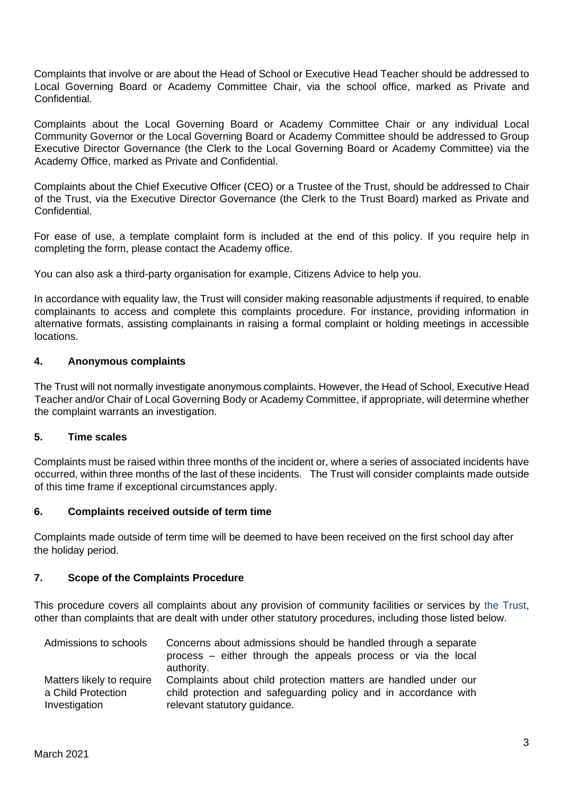Complaints that involve or are about the Head of School or Executive Head Teacher should be addressed to Local Governing Board or Academy Committee Chair, via the school office, marked as Private and Confidential.

Complaints about the Local Governing Board or Academy Committee Chair or any individual Local Community Governor or the Local Governing Board or Academy Committee should be addressed to Group Executive Director Governance (the Clerk to the Local Governing Board or Academy Committee) via the Academy Office, marked as Private and Confidential.

Complaints about the Chief Executive Officer (CEO) or a Trustee of the Trust, should be addressed to Chair of the Trust, via the Executive Director Governance (the Clerk to the Trust Board) marked as Private and Confidential.

For ease of use, a template complaint form is included at the end of this policy. If you require help in completing the form, please contact the Academy office.

You can also ask a third-party organisation for example, Citizens Advice to help you.

In accordance with equality law, the Trust will consider making reasonable adjustments if required, to enable complainants to access and complete this complaints procedure. For instance, providing information in alternative formats, assisting complainants in raising a formal complaint or holding meetings in accessible locations.

## **4. Anonymous complaints**

The Trust will not normally investigate anonymous complaints. However, the Head of School, Executive Head Teacher and/or Chair of Local Governing Body or Academy Committee, if appropriate, will determine whether the complaint warrants an investigation.

### **5. Time scales**

Complaints must be raised within three months of the incident or, where a series of associated incidents have occurred, within three months of the last of these incidents. The Trust will consider complaints made outside of this time frame if exceptional circumstances apply.

### **6. Complaints received outside of term time**

Complaints made outside of term time will be deemed to have been received on the first school day after the holiday period.

### **7. Scope of the Complaints Procedure**

This procedure covers all complaints about any provision of community facilities or services by the Trust, other than complaints that are dealt with under other statutory procedures, including those listed below.

| Admissions to schools     | Concerns about admissions should be handled through a separate<br>process – either through the appeals process or via the local<br>authority. |
|---------------------------|-----------------------------------------------------------------------------------------------------------------------------------------------|
| Matters likely to require | Complaints about child protection matters are handled under our                                                                               |
| a Child Protection        | child protection and safeguarding policy and in accordance with                                                                               |
| Investigation             | relevant statutory guidance.                                                                                                                  |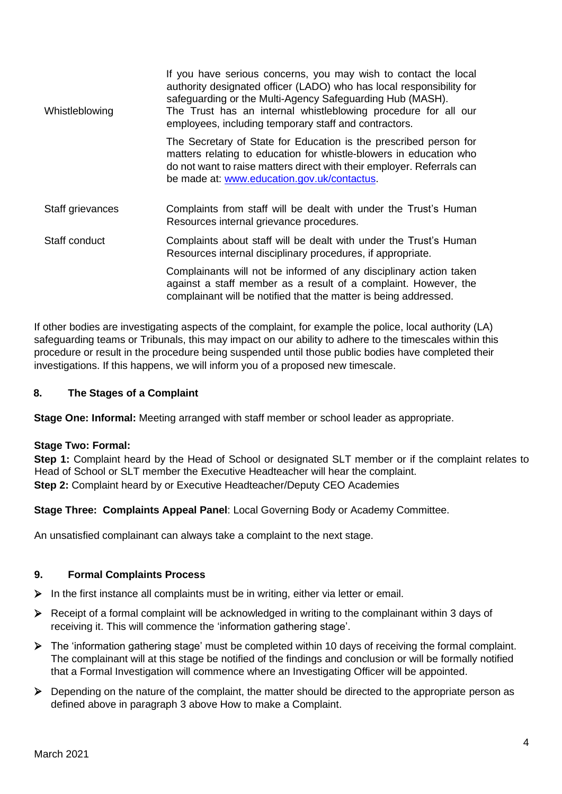| Whistleblowing   | If you have serious concerns, you may wish to contact the local<br>authority designated officer (LADO) who has local responsibility for<br>safeguarding or the Multi-Agency Safeguarding Hub (MASH).<br>The Trust has an internal whistleblowing procedure for all our<br>employees, including temporary staff and contractors. |
|------------------|---------------------------------------------------------------------------------------------------------------------------------------------------------------------------------------------------------------------------------------------------------------------------------------------------------------------------------|
|                  | The Secretary of State for Education is the prescribed person for<br>matters relating to education for whistle-blowers in education who<br>do not want to raise matters direct with their employer. Referrals can<br>be made at: www.education.gov.uk/contactus.                                                                |
| Staff grievances | Complaints from staff will be dealt with under the Trust's Human<br>Resources internal grievance procedures.                                                                                                                                                                                                                    |
| Staff conduct    | Complaints about staff will be dealt with under the Trust's Human<br>Resources internal disciplinary procedures, if appropriate.                                                                                                                                                                                                |
|                  | Complainants will not be informed of any disciplinary action taken<br>against a staff member as a result of a complaint. However, the<br>complainant will be notified that the matter is being addressed.                                                                                                                       |

If other bodies are investigating aspects of the complaint, for example the police, local authority (LA) safeguarding teams or Tribunals, this may impact on our ability to adhere to the timescales within this procedure or result in the procedure being suspended until those public bodies have completed their investigations. If this happens, we will inform you of a proposed new timescale.

# **8. The Stages of a Complaint**

**Stage One: Informal:** Meeting arranged with staff member or school leader as appropriate.

# **Stage Two: Formal:**

**Step 1:** Complaint heard by the Head of School or designated SLT member or if the complaint relates to Head of School or SLT member the Executive Headteacher will hear the complaint. **Step 2:** Complaint heard by or Executive Headteacher/Deputy CEO Academies

**Stage Three: Complaints Appeal Panel**: Local Governing Body or Academy Committee.

An unsatisfied complainant can always take a complaint to the next stage.

# **9. Formal Complaints Process**

- $\triangleright$  In the first instance all complaints must be in writing, either via letter or email.
- ➢ Receipt of a formal complaint will be acknowledged in writing to the complainant within 3 days of receiving it. This will commence the 'information gathering stage'.
- ➢ The 'information gathering stage' must be completed within 10 days of receiving the formal complaint. The complainant will at this stage be notified of the findings and conclusion or will be formally notified that a Formal Investigation will commence where an Investigating Officer will be appointed.
- ➢ Depending on the nature of the complaint, the matter should be directed to the appropriate person as defined above in paragraph 3 above How to make a Complaint.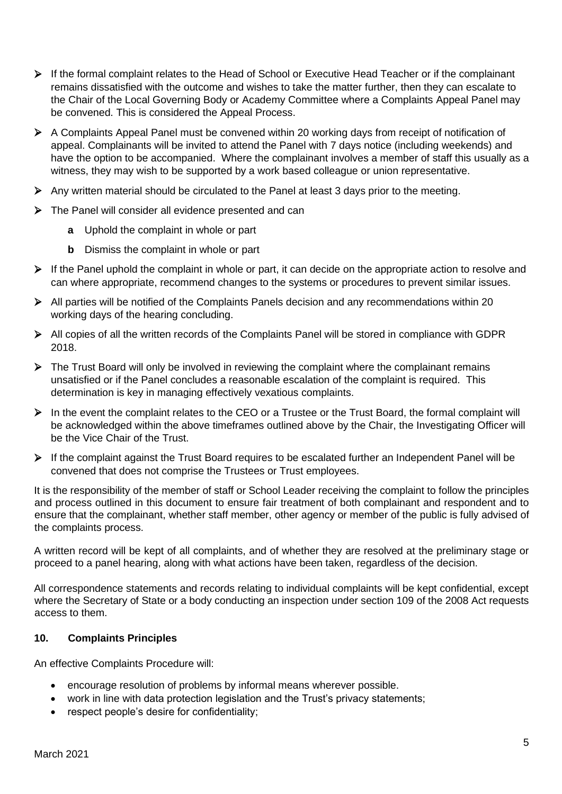- ➢ If the formal complaint relates to the Head of School or Executive Head Teacher or if the complainant remains dissatisfied with the outcome and wishes to take the matter further, then they can escalate to the Chair of the Local Governing Body or Academy Committee where a Complaints Appeal Panel may be convened. This is considered the Appeal Process.
- ➢ A Complaints Appeal Panel must be convened within 20 working days from receipt of notification of appeal. Complainants will be invited to attend the Panel with 7 days notice (including weekends) and have the option to be accompanied. Where the complainant involves a member of staff this usually as a witness, they may wish to be supported by a work based colleague or union representative.
- ➢ Any written material should be circulated to the Panel at least 3 days prior to the meeting.
- ➢ The Panel will consider all evidence presented and can
	- **a** Uphold the complaint in whole or part
	- **b** Dismiss the complaint in whole or part
- $\triangleright$  If the Panel uphold the complaint in whole or part, it can decide on the appropriate action to resolve and can where appropriate, recommend changes to the systems or procedures to prevent similar issues.
- ➢ All parties will be notified of the Complaints Panels decision and any recommendations within 20 working days of the hearing concluding.
- ➢ All copies of all the written records of the Complaints Panel will be stored in compliance with GDPR 2018.
- $\triangleright$  The Trust Board will only be involved in reviewing the complaint where the complainant remains unsatisfied or if the Panel concludes a reasonable escalation of the complaint is required. This determination is key in managing effectively vexatious complaints.
- ➢ In the event the complaint relates to the CEO or a Trustee or the Trust Board, the formal complaint will be acknowledged within the above timeframes outlined above by the Chair, the Investigating Officer will be the Vice Chair of the Trust.
- ➢ If the complaint against the Trust Board requires to be escalated further an Independent Panel will be convened that does not comprise the Trustees or Trust employees.

It is the responsibility of the member of staff or School Leader receiving the complaint to follow the principles and process outlined in this document to ensure fair treatment of both complainant and respondent and to ensure that the complainant, whether staff member, other agency or member of the public is fully advised of the complaints process.

A written record will be kept of all complaints, and of whether they are resolved at the preliminary stage or proceed to a panel hearing, along with what actions have been taken, regardless of the decision.

All correspondence statements and records relating to individual complaints will be kept confidential, except where the Secretary of State or a body conducting an inspection under section 109 of the 2008 Act requests access to them.

# **10. Complaints Principles**

An effective Complaints Procedure will:

- encourage resolution of problems by informal means wherever possible.
- work in line with data protection legislation and the Trust's privacy statements;
- respect people's desire for confidentiality;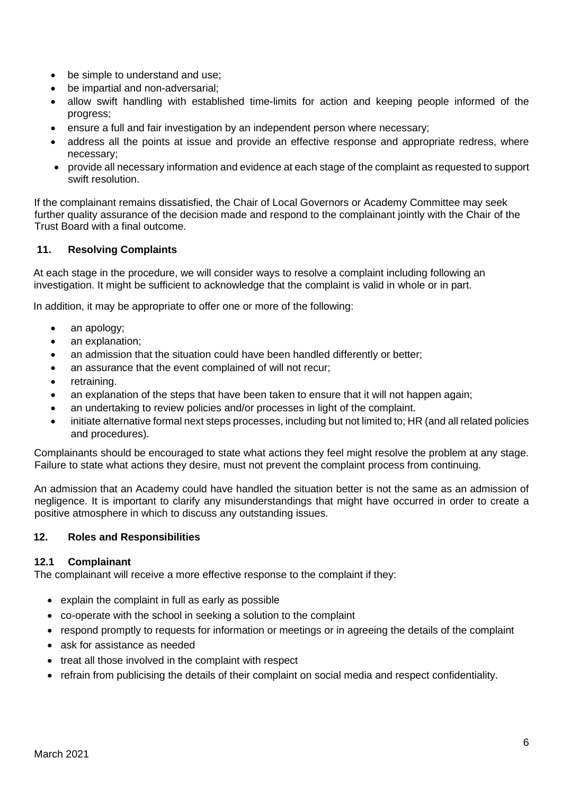- be simple to understand and use;
- be impartial and non-adversarial;
- allow swift handling with established time-limits for action and keeping people informed of the progress;
- ensure a full and fair investigation by an independent person where necessary;
- address all the points at issue and provide an effective response and appropriate redress, where necessary;
- provide all necessary information and evidence at each stage of the complaint as requested to support swift resolution.

If the complainant remains dissatisfied, the Chair of Local Governors or Academy Committee may seek further quality assurance of the decision made and respond to the complainant jointly with the Chair of the Trust Board with a final outcome.

# **11. Resolving Complaints**

At each stage in the procedure, we will consider ways to resolve a complaint including following an investigation. It might be sufficient to acknowledge that the complaint is valid in whole or in part.

In addition, it may be appropriate to offer one or more of the following:

- an apology;
- an explanation;
- an admission that the situation could have been handled differently or better;
- an assurance that the event complained of will not recur;
- retraining.
- an explanation of the steps that have been taken to ensure that it will not happen again;
- an undertaking to review policies and/or processes in light of the complaint.
- initiate alternative formal next steps processes, including but not limited to; HR (and all related policies and procedures).

Complainants should be encouraged to state what actions they feel might resolve the problem at any stage. Failure to state what actions they desire, must not prevent the complaint process from continuing.

An admission that an Academy could have handled the situation better is not the same as an admission of negligence. It is important to clarify any misunderstandings that might have occurred in order to create a positive atmosphere in which to discuss any outstanding issues.

# **12. Roles and Responsibilities**

# **12.1 Complainant**

The complainant will receive a more effective response to the complaint if they:

- explain the complaint in full as early as possible
- co-operate with the school in seeking a solution to the complaint
- respond promptly to requests for information or meetings or in agreeing the details of the complaint
- ask for assistance as needed
- treat all those involved in the complaint with respect
- refrain from publicising the details of their complaint on social media and respect confidentiality.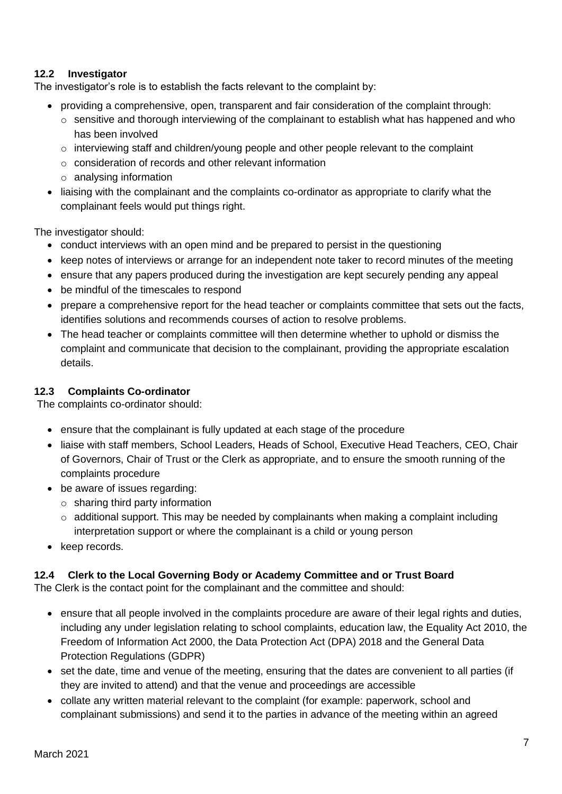# **12.2 Investigator**

The investigator's role is to establish the facts relevant to the complaint by:

- providing a comprehensive, open, transparent and fair consideration of the complaint through:
	- $\circ$  sensitive and thorough interviewing of the complainant to establish what has happened and who has been involved
	- $\circ$  interviewing staff and children/young people and other people relevant to the complaint
	- o consideration of records and other relevant information
	- o analysing information
- liaising with the complainant and the complaints co-ordinator as appropriate to clarify what the complainant feels would put things right.

The investigator should:

- conduct interviews with an open mind and be prepared to persist in the questioning
- keep notes of interviews or arrange for an independent note taker to record minutes of the meeting
- ensure that any papers produced during the investigation are kept securely pending any appeal
- be mindful of the timescales to respond
- prepare a comprehensive report for the head teacher or complaints committee that sets out the facts, identifies solutions and recommends courses of action to resolve problems.
- The head teacher or complaints committee will then determine whether to uphold or dismiss the complaint and communicate that decision to the complainant, providing the appropriate escalation details.

## **12.3 Complaints Co-ordinator**

The complaints co-ordinator should:

- ensure that the complainant is fully updated at each stage of the procedure
- liaise with staff members, School Leaders, Heads of School, Executive Head Teachers, CEO, Chair of Governors, Chair of Trust or the Clerk as appropriate, and to ensure the smooth running of the complaints procedure
- be aware of issues regarding:
	- $\circ$  sharing third party information
	- $\circ$  additional support. This may be needed by complainants when making a complaint including interpretation support or where the complainant is a child or young person
- keep records.

# **12.4 Clerk to the Local Governing Body or Academy Committee and or Trust Board**

The Clerk is the contact point for the complainant and the committee and should:

- ensure that all people involved in the complaints procedure are aware of their legal rights and duties, including any under legislation relating to school complaints, education law, the Equality Act 2010, the Freedom of Information Act 2000, the Data Protection Act (DPA) 2018 and the General Data Protection Regulations (GDPR)
- set the date, time and venue of the meeting, ensuring that the dates are convenient to all parties (if they are invited to attend) and that the venue and proceedings are accessible
- collate any written material relevant to the complaint (for example: paperwork, school and complainant submissions) and send it to the parties in advance of the meeting within an agreed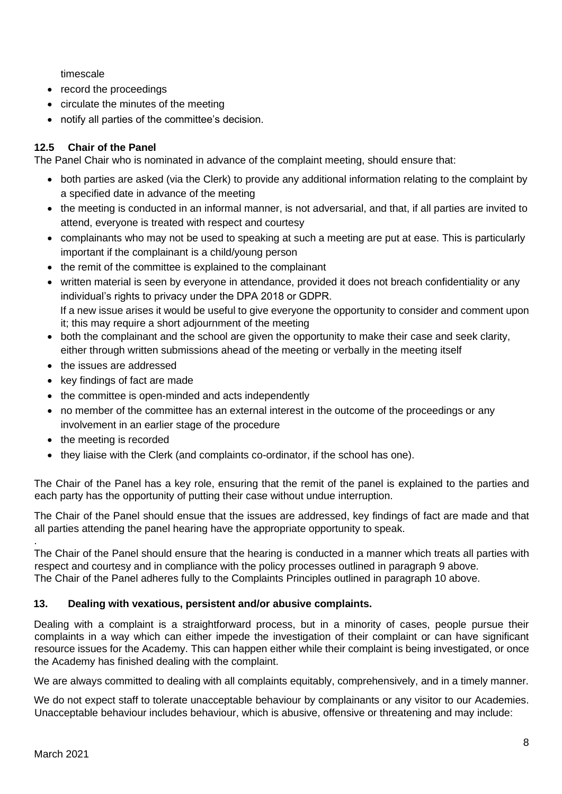timescale

- record the proceedings
- circulate the minutes of the meeting
- notify all parties of the committee's decision.

# **12.5 Chair of the Panel**

The Panel Chair who is nominated in advance of the complaint meeting, should ensure that:

- both parties are asked (via the Clerk) to provide any additional information relating to the complaint by a specified date in advance of the meeting
- the meeting is conducted in an informal manner, is not adversarial, and that, if all parties are invited to attend, everyone is treated with respect and courtesy
- complainants who may not be used to speaking at such a meeting are put at ease. This is particularly important if the complainant is a child/young person
- the remit of the committee is explained to the complainant
- written material is seen by everyone in attendance, provided it does not breach confidentiality or any individual's rights to privacy under the DPA 2018 or GDPR. If a new issue arises it would be useful to give everyone the opportunity to consider and comment upon it; this may require a short adjournment of the meeting
- both the complainant and the school are given the opportunity to make their case and seek clarity, either through written submissions ahead of the meeting or verbally in the meeting itself
- the issues are addressed
- key findings of fact are made
- the committee is open-minded and acts independently
- no member of the committee has an external interest in the outcome of the proceedings or any involvement in an earlier stage of the procedure
- the meeting is recorded
- they liaise with the Clerk (and complaints co-ordinator, if the school has one).

The Chair of the Panel has a key role, ensuring that the remit of the panel is explained to the parties and each party has the opportunity of putting their case without undue interruption.

The Chair of the Panel should ensue that the issues are addressed, key findings of fact are made and that all parties attending the panel hearing have the appropriate opportunity to speak.

. The Chair of the Panel should ensure that the hearing is conducted in a manner which treats all parties with respect and courtesy and in compliance with the policy processes outlined in paragraph 9 above. The Chair of the Panel adheres fully to the Complaints Principles outlined in paragraph 10 above.

# **13. Dealing with vexatious, persistent and/or abusive complaints.**

Dealing with a complaint is a straightforward process, but in a minority of cases, people pursue their complaints in a way which can either impede the investigation of their complaint or can have significant resource issues for the Academy. This can happen either while their complaint is being investigated, or once the Academy has finished dealing with the complaint.

We are always committed to dealing with all complaints equitably, comprehensively, and in a timely manner.

We do not expect staff to tolerate unacceptable behaviour by complainants or any visitor to our Academies. Unacceptable behaviour includes behaviour, which is abusive, offensive or threatening and may include: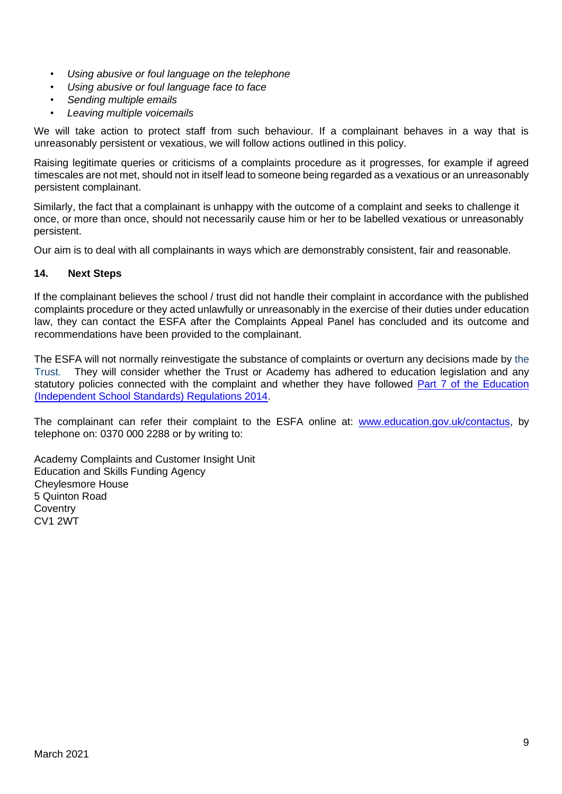- *Using abusive or foul language on the telephone*
- *Using abusive or foul language face to face*
- *Sending multiple emails*
- *Leaving multiple voicemails*

We will take action to protect staff from such behaviour. If a complainant behaves in a way that is unreasonably persistent or vexatious, we will follow actions outlined in this policy.

Raising legitimate queries or criticisms of a complaints procedure as it progresses, for example if agreed timescales are not met, should not in itself lead to someone being regarded as a vexatious or an unreasonably persistent complainant.

Similarly, the fact that a complainant is unhappy with the outcome of a complaint and seeks to challenge it once, or more than once, should not necessarily cause him or her to be labelled vexatious or unreasonably persistent.

Our aim is to deal with all complainants in ways which are demonstrably consistent, fair and reasonable.

### **14. Next Steps**

If the complainant believes the school / trust did not handle their complaint in accordance with the published complaints procedure or they acted unlawfully or unreasonably in the exercise of their duties under education law, they can contact the ESFA after the Complaints Appeal Panel has concluded and its outcome and recommendations have been provided to the complainant.

The ESFA will not normally reinvestigate the substance of complaints or overturn any decisions made by the Trust. They will consider whether the Trust or Academy has adhered to education legislation and any statutory policies connected with the complaint and whether they have followed Part 7 of the Education [\(Independent School Standards\) Regulations 2014.](http://www.legislation.gov.uk/uksi/2010/1997/schedule/1/made)

The complainant can refer their complaint to the ESFA online at: [www.education.gov.uk/contactus,](http://www.education.gov.uk/contactus) by telephone on: 0370 000 2288 or by writing to:

Academy Complaints and Customer Insight Unit Education and Skills Funding Agency Cheylesmore House 5 Quinton Road **Coventry** CV1 2WT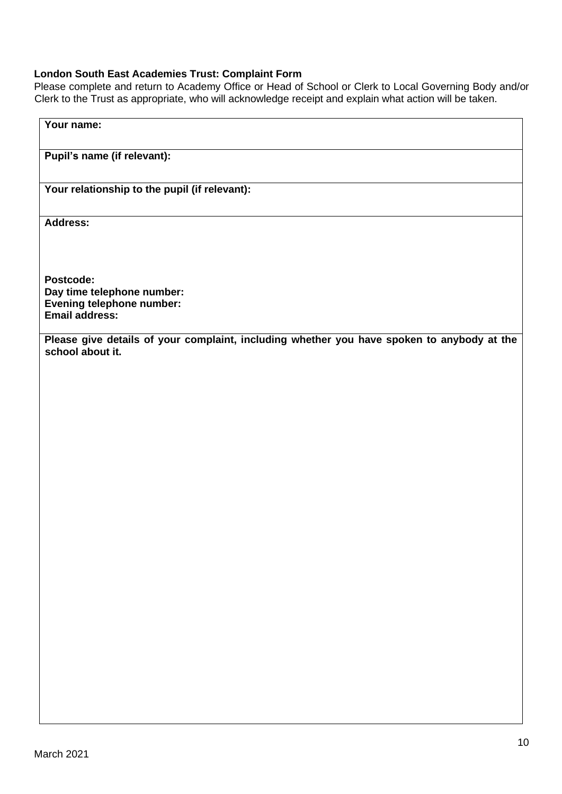# **London South East Academies Trust: Complaint Form**

Please complete and return to Academy Office or Head of School or Clerk to Local Governing Body and/or Clerk to the Trust as appropriate, who will acknowledge receipt and explain what action will be taken.

| Your name:                                                                                 |
|--------------------------------------------------------------------------------------------|
|                                                                                            |
|                                                                                            |
| Pupil's name (if relevant):                                                                |
|                                                                                            |
|                                                                                            |
| Your relationship to the pupil (if relevant):                                              |
|                                                                                            |
|                                                                                            |
| <b>Address:</b>                                                                            |
|                                                                                            |
|                                                                                            |
|                                                                                            |
|                                                                                            |
| Postcode:                                                                                  |
| Day time telephone number:                                                                 |
| Evening telephone number:                                                                  |
| <b>Email address:</b>                                                                      |
|                                                                                            |
| Please give details of your complaint, including whether you have spoken to anybody at the |
|                                                                                            |
| school about it.                                                                           |
|                                                                                            |
|                                                                                            |
|                                                                                            |
|                                                                                            |
|                                                                                            |
|                                                                                            |
|                                                                                            |
|                                                                                            |
|                                                                                            |
|                                                                                            |
|                                                                                            |
|                                                                                            |
|                                                                                            |
|                                                                                            |
|                                                                                            |
|                                                                                            |
|                                                                                            |
|                                                                                            |